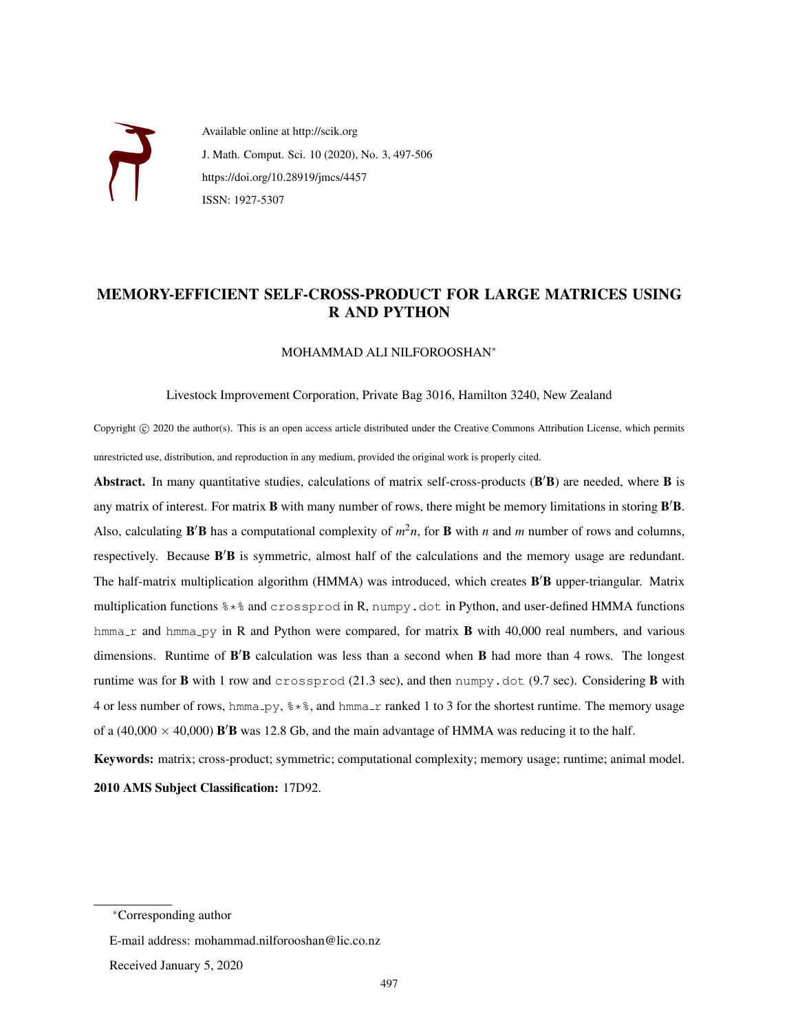

Available online at http://scik.org J. Math. Comput. Sci. 10 (2020), No. 3, 497[-506](#page-9-0) https://doi.org/10.28919/jmcs/4457 ISSN: 1927-5307

# MEMORY-EFFICIENT SELF-CROSS-PRODUCT FOR LARGE MATRICES USING R AND PYTHON

### MOHAMMAD ALI NILFOROOSHAN<sup>∗</sup>

#### Livestock Improvement Corporation, Private Bag 3016, Hamilton 3240, New Zealand

Copyright © 2020 the author(s). This is an open access article distributed under the Creative Commons Attribution License, which permits unrestricted use, distribution, and reproduction in any medium, provided the original work is properly cited.

Abstract. In many quantitative studies, calculations of matrix self-cross-products  $(B'B)$  are needed, where  $B$  is any matrix of interest. For matrix  $B$  with many number of rows, there might be memory limitations in storing  $B'B$ . Also, calculating  $\bf{B}'\bf{B}$  has a computational complexity of  $m^2n$ , for  $\bf{B}$  with *n* and *m* number of rows and columns, respectively. Because B'B is symmetric, almost half of the calculations and the memory usage are redundant. The half-matrix multiplication algorithm (HMMA) was introduced, which creates B'B upper-triangular. Matrix multiplication functions  $\ast \ast \ast$  and crossprod in R, numpy.dot in Python, and user-defined HMMA functions hmma\_r and hmma\_py in R and Python were compared, for matrix **B** with 40,000 real numbers, and various dimensions. Runtime of B'B calculation was less than a second when B had more than 4 rows. The longest runtime was for **B** with 1 row and crossprod (21.3 sec), and then numpy.dot (9.7 sec). Considering **B** with 4 or less number of rows, hmma\_py,  $\frac{1}{6} \times \frac{8}{6}$ , and hmma\_r ranked 1 to 3 for the shortest runtime. The memory usage of a (40,000  $\times$  40,000) **B'B** was 12.8 Gb, and the main advantage of HMMA was reducing it to the half.

Keywords: matrix; cross-product; symmetric; computational complexity; memory usage; runtime; animal model. 2010 AMS Subject Classification: 17D92.

<sup>∗</sup>Corresponding author

E-mail address: mohammad.nilforooshan@lic.co.nz

Received January 5, 2020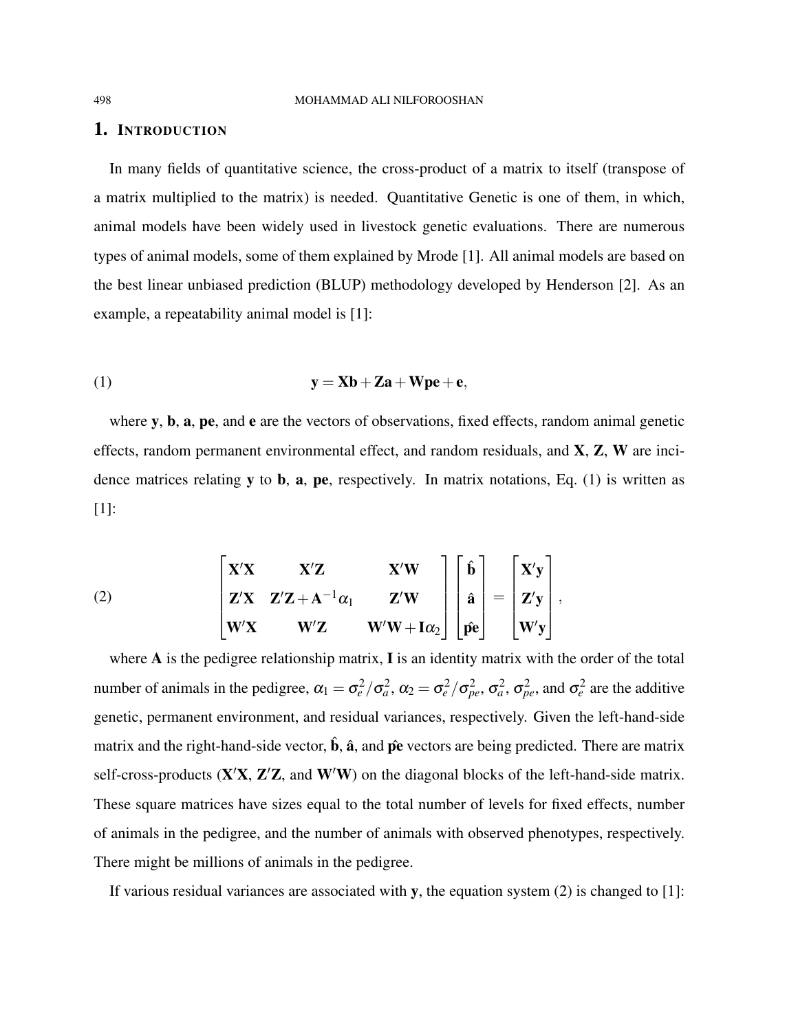### 1. INTRODUCTION

In many fields of quantitative science, the cross-product of a matrix to itself (transpose of a matrix multiplied to the matrix) is needed. Quantitative Genetic is one of them, in which, animal models have been widely used in livestock genetic evaluations. There are numerous types of animal models, some of them explained by Mrode [\[1\]](#page-7-0). All animal models are based on the best linear unbiased prediction (BLUP) methodology developed by Henderson [\[2\]](#page-7-1). As an example, a repeatability animal model is [\[1\]](#page-7-0):

<span id="page-1-0"></span>
$$
y = Xb + Za + Wpe + e,
$$

where y, b, a, pe, and e are the vectors of observations, fixed effects, random animal genetic effects, random permanent environmental effect, and random residuals, and X, Z, W are incidence matrices relating  $y$  to  $b$ ,  $a$ ,  $pe$ , respectively. In matrix notations, Eq. [\(1\)](#page-1-0) is written as [\[1\]](#page-7-0):

<span id="page-1-1"></span>(2) 
$$
\begin{bmatrix} X'X & X'Z & X'W \ Z'X & Z'Z + A^{-1}\alpha_1 & Z'W \ W'X & W'Z & W'W + I\alpha_2 \end{bmatrix} \begin{bmatrix} \hat{\mathbf{b}} \\ \hat{\mathbf{a}} \\ \hat{\mathbf{p}}\hat{\mathbf{e}} \end{bmatrix} = \begin{bmatrix} X'y \\ Z'y \\ W'y \end{bmatrix},
$$

where A is the pedigree relationship matrix, I is an identity matrix with the order of the total number of animals in the pedigree,  $\alpha_1 = \sigma_e^2/\sigma_a^2$ ,  $\alpha_2 = \sigma_e^2/\sigma_{pe}^2$ ,  $\sigma_a^2$ ,  $\sigma_{pe}^2$ , and  $\sigma_e^2$  are the additive genetic, permanent environment, and residual variances, respectively. Given the left-hand-side matrix and the right-hand-side vector,  $\hat{\mathbf{b}}$ ,  $\hat{\mathbf{a}}$ , and  $\hat{\mathbf{p}}\hat{\mathbf{e}}$  vectors are being predicted. There are matrix self-cross-products  $(X'X, Z'Z,$  and  $W'W$ ) on the diagonal blocks of the left-hand-side matrix. These square matrices have sizes equal to the total number of levels for fixed effects, number of animals in the pedigree, and the number of animals with observed phenotypes, respectively. There might be millions of animals in the pedigree.

If various residual variances are associated with y, the equation system [\(2\)](#page-1-1) is changed to [\[1\]](#page-7-0):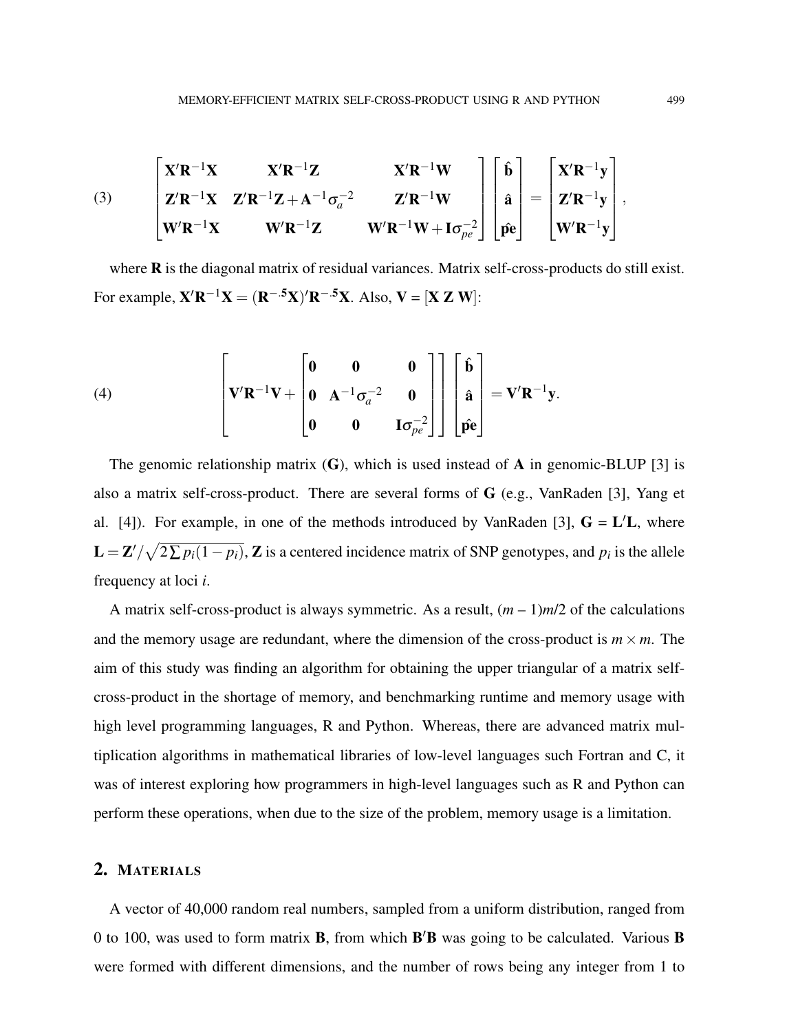(3) 
$$
\begin{bmatrix} \mathbf{X}'\mathbf{R}^{-1}\mathbf{X} & \mathbf{X}'\mathbf{R}^{-1}\mathbf{Z} & \mathbf{X}'\mathbf{R}^{-1}\mathbf{W} \\ \mathbf{Z}'\mathbf{R}^{-1}\mathbf{X} & \mathbf{Z}'\mathbf{R}^{-1}\mathbf{Z} + \mathbf{A}^{-1}\sigma_a^{-2} & \mathbf{Z}'\mathbf{R}^{-1}\mathbf{W} \\ \mathbf{W}'\mathbf{R}^{-1}\mathbf{X} & \mathbf{W}'\mathbf{R}^{-1}\mathbf{Z} & \mathbf{W}'\mathbf{R}^{-1}\mathbf{W} + \mathbf{I}\sigma_{pe}^{-2} \end{bmatrix} \begin{bmatrix} \hat{\mathbf{b}} \\ \hat{\mathbf{a}} \\ \hat{\mathbf{p}} \\ \hat{\mathbf{p}} \\ \hat{\mathbf{p}} \\ \hat{\mathbf{p}} \\ \hat{\mathbf{p}} \end{bmatrix} = \begin{bmatrix} \mathbf{X}'\mathbf{R}^{-1}\mathbf{y} \\ \mathbf{Z}'\mathbf{R}^{-1}\mathbf{y} \\ \mathbf{W}'\mathbf{R}^{-1}\mathbf{y} \end{bmatrix},
$$

where **R** is the diagonal matrix of residual variances. Matrix self-cross-products do still exist. For example,  $\mathbf{X}'\mathbf{R}^{-1}\mathbf{X} = (\mathbf{R}^{-.5}\mathbf{X})'\mathbf{R}^{-.5}\mathbf{X}$ . Also,  $\mathbf{V} = [\mathbf{X} \mathbf{Z} \mathbf{W}]$ :

(4) 
$$
\begin{bmatrix}\n\mathbf{V}'\mathbf{R}^{-1}\mathbf{V} + \begin{bmatrix}\n\mathbf{0} & \mathbf{0} & \mathbf{0} \\
\mathbf{0} & \mathbf{A}^{-1}\sigma_a^{-2} & \mathbf{0} \\
\mathbf{0} & \mathbf{0} & \mathbf{I}\sigma_{pe}^{-2}\n\end{bmatrix}\n\end{bmatrix}\n\begin{bmatrix}\n\hat{\mathbf{b}} \\
\hat{\mathbf{a}} \\
\hat{\mathbf{p}}\hat{\mathbf{e}}\n\end{bmatrix} = \mathbf{V}'\mathbf{R}^{-1}\mathbf{y}.
$$

The genomic relationship matrix  $(G)$ , which is used instead of A in genomic-BLUP [\[3\]](#page-7-2) is also a matrix self-cross-product. There are several forms of G (e.g., VanRaden [\[3\]](#page-7-2), Yang et al. [\[4\]](#page-7-3)). For example, in one of the methods introduced by VanRaden [\[3\]](#page-7-2),  $G = L'L$ , where  $\mathbf{L} = \mathbf{Z}' / \sqrt{2 \sum p_i (1 - p_i)}$ ,  $\mathbf{Z}$  is a centered incidence matrix of SNP genotypes, and  $p_i$  is the allele frequency at loci *i*.

A matrix self-cross-product is always symmetric. As a result,  $(m - 1)m/2$  of the calculations and the memory usage are redundant, where the dimension of the cross-product is  $m \times m$ . The aim of this study was finding an algorithm for obtaining the upper triangular of a matrix selfcross-product in the shortage of memory, and benchmarking runtime and memory usage with high level programming languages, R and Python. Whereas, there are advanced matrix multiplication algorithms in mathematical libraries of low-level languages such Fortran and C, it was of interest exploring how programmers in high-level languages such as R and Python can perform these operations, when due to the size of the problem, memory usage is a limitation.

## 2. MATERIALS

A vector of 40,000 random real numbers, sampled from a uniform distribution, ranged from 0 to 100, was used to form matrix **B**, from which  $B'B$  was going to be calculated. Various **B** were formed with different dimensions, and the number of rows being any integer from 1 to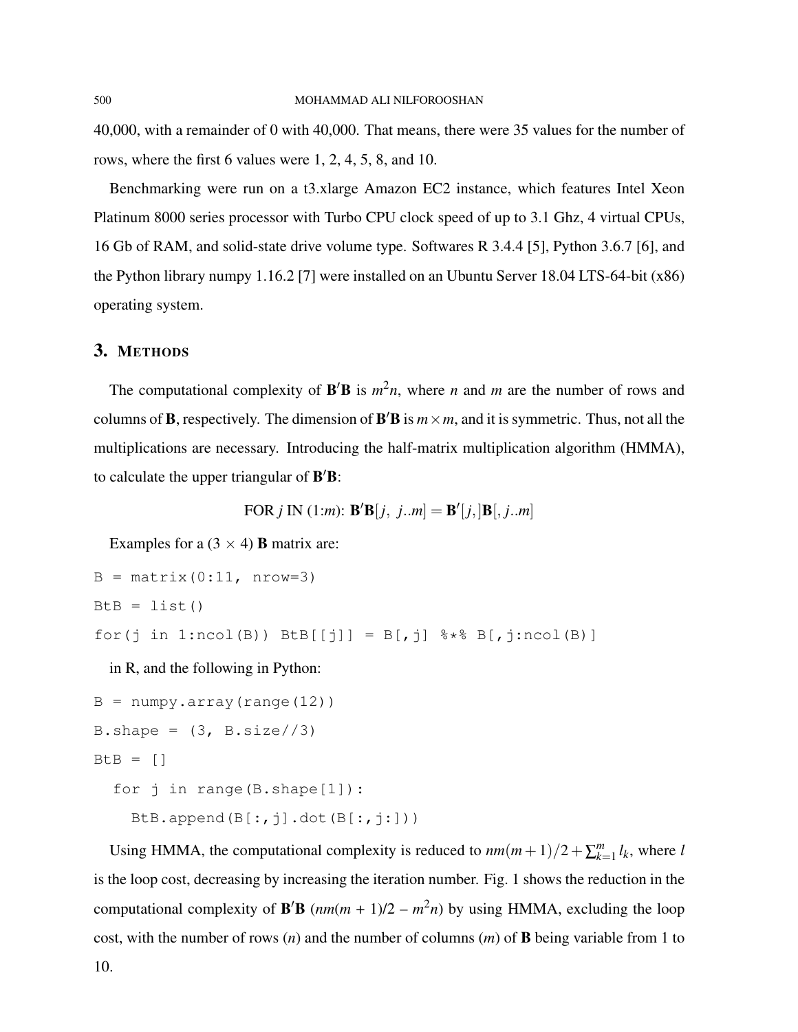40,000, with a remainder of 0 with 40,000. That means, there were 35 values for the number of rows, where the first 6 values were 1, 2, 4, 5, 8, and 10.

Benchmarking were run on a t3.xlarge Amazon EC2 instance, which features Intel Xeon Platinum 8000 series processor with Turbo CPU clock speed of up to 3.1 Ghz, 4 virtual CPUs, 16 Gb of RAM, and solid-state drive volume type. Softwares R 3.4.4 [\[5\]](#page-7-4), Python 3.6.7 [\[6\]](#page-8-0), and the Python library numpy 1.16.2 [\[7\]](#page-8-1) were installed on an Ubuntu Server 18.04 LTS-64-bit (x86) operating system.

# 3. METHODS

The computational complexity of  $\mathbf{B}'\mathbf{B}$  is  $m^2n$ , where *n* and *m* are the number of rows and columns of **B**, respectively. The dimension of **B'B** is  $m \times m$ , and it is symmetric. Thus, not all the multiplications are necessary. Introducing the half-matrix multiplication algorithm (HMMA), to calculate the upper triangular of  $B'B$ :

FOR 
$$
j
$$
 IN (1:m):  $\mathbf{B}'\mathbf{B}[j, j..m] = \mathbf{B}'[j, ]\mathbf{B}[j..m]$ 

Examples for a  $(3 \times 4)$  **B** matrix are:

```
B = matrix(0:11, nrow=3)BtB = list()for(j in 1:ncol(B)) BtB[[j]] = B[,j] % * B[,j:ncol(B)]
 in R, and the following in Python:
B = numpy.array(range(12))
B.shape = (3, B.size // 3)B \cup B = [1]
```

```
for j in range(B.shape[1]):
```

```
BtB.append(B[:,j].dot(B[:,j:]))
```
Using HMMA, the computational complexity is reduced to  $nm(m+1)/2+\sum_{k=1}^{m}$  $\binom{m}{k=1}$ *l*<sub>k</sub>, where *l* is the loop cost, decreasing by increasing the iteration number. Fig. [1](#page-4-0) shows the reduction in the computational complexity of **B'B**  $(nm(m + 1)/2 - m^2n)$  by using HMMA, excluding the loop cost, with the number of rows (*n*) and the number of columns (*m*) of B being variable from 1 to 10.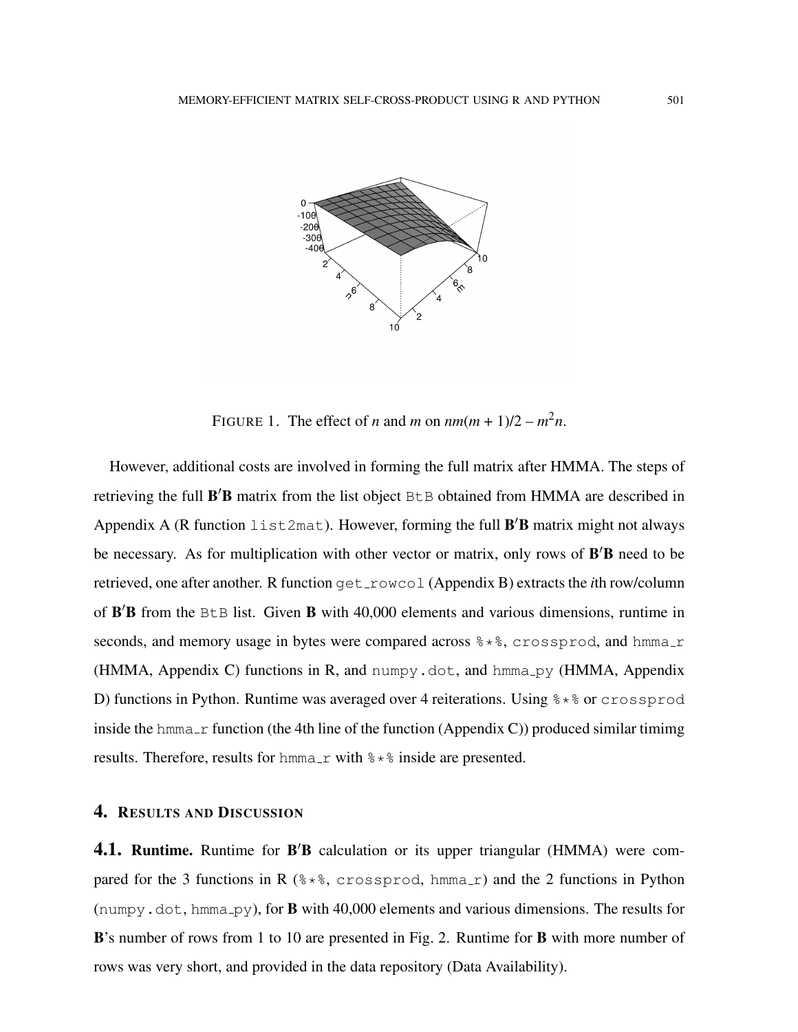

<span id="page-4-0"></span>FIGURE 1. The effect of *n* and *m* on  $nm(m + 1)/2 - m^2n$ .

However, additional costs are involved in forming the full matrix after HMMA. The steps of retrieving the full B'B matrix from the list object BtB obtained from HMMA are described in [Appendix A](#page-8-2) (R function  $list2mat$ ). However, forming the full  $B'B$  matrix might not always be necessary. As for multiplication with other vector or matrix, only rows of  $B'B$  need to be retrieved, one after another. R function get\_rowcol [\(Appendix B\)](#page-8-3) extracts the *i*th row/column of B'B from the BtB list. Given B with 40,000 elements and various dimensions, runtime in seconds, and memory usage in bytes were compared across  $\frac{1}{2}$ , crossprod, and hmma r (HMMA, [Appendix C\)](#page-9-1) functions in R, and numpy.dot, and hmma<sub>rpy</sub> (HMMA, [Appendix](#page-9-2) [D\)](#page-9-2) functions in Python. Runtime was averaged over 4 reiterations. Using  $\frac{1}{2} \times \frac{1}{2}$  or crossprod inside the hmma  $\pm r$  function (the 4th line of the function [\(Appendix C\)](#page-9-1)) produced similar timimg results. Therefore, results for hmma  $\angle$ r with  $\frac{1}{6} \times \frac{1}{6}$  inside are presented.

### 4. RESULTS AND DISCUSSION

4.1. Runtime. Runtime for B'B calculation or its upper triangular (HMMA) were compared for the 3 functions in R  $(***, crossprod, hmma_r)$  and the 2 functions in Python (numpy.dot, hmma py), for **B** with 40,000 elements and various dimensions. The results for B's number of rows from 1 to 10 are presented in Fig. [2.](#page-5-0) Runtime for B with more number of rows was very short, and provided in the [data repository](#page-7-5) (Data Availability).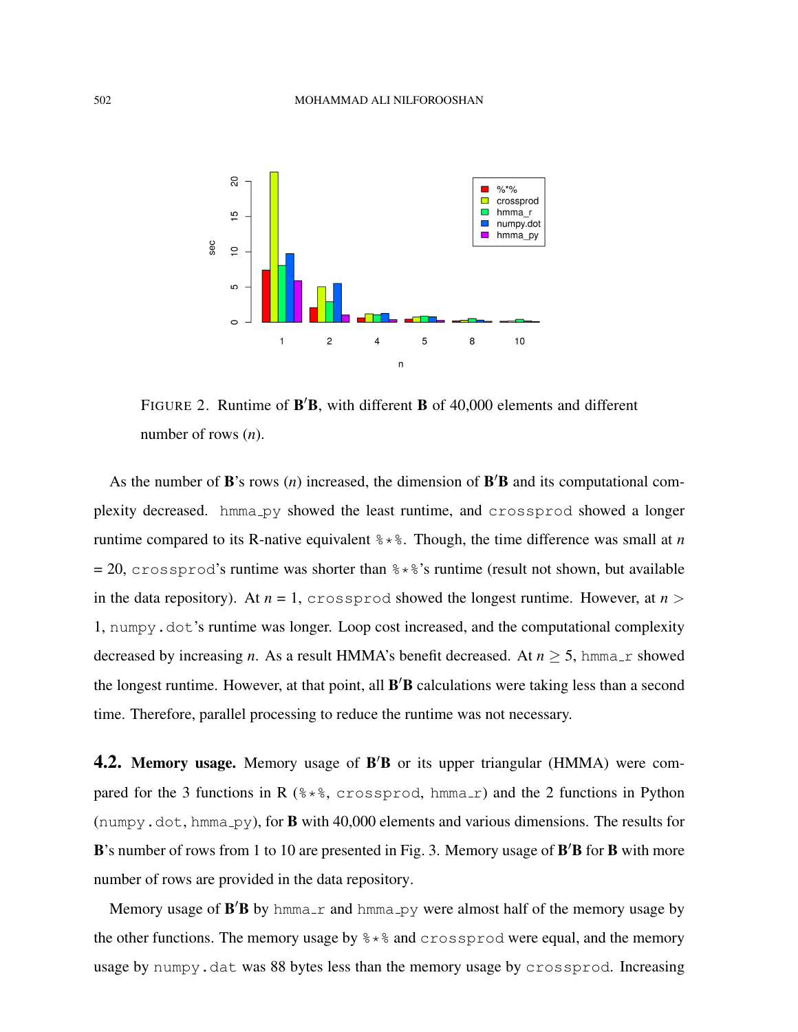

<span id="page-5-0"></span>FIGURE 2. Runtime of  $\mathbf{B}'\mathbf{B}$ , with different  $\mathbf{B}$  of 40,000 elements and different number of rows (*n*).

As the number of  $\mathbf{B}'s$  rows  $(n)$  increased, the dimension of  $\mathbf{B}'\mathbf{B}$  and its computational complexity decreased. hmma\_py showed the least runtime, and crossprod showed a longer runtime compared to its R-native equivalent  $\frac{1}{6} \times \frac{1}{6}$ . Though, the time difference was small at *n*  $= 20$ , crossprod's runtime was shorter than  $\frac{1}{6} * \frac{1}{6}$ 's runtime (result not shown, but available in the [data repository\)](#page-7-5). At  $n = 1$ , crossprod showed the longest runtime. However, at  $n >$ 1, numpy.dot's runtime was longer. Loop cost increased, and the computational complexity decreased by increasing *n*. As a result HMMA's benefit decreased. At  $n \geq 5$ , hmma<sub>r</sub> showed the longest runtime. However, at that point, all **B'B** calculations were taking less than a second time. Therefore, parallel processing to reduce the runtime was not necessary.

4.2. Memory usage. Memory usage of B'B or its upper triangular (HMMA) were compared for the 3 functions in R  $(**, c \circ s \circ \text{cos} p \circ d, h \text{mma}_r)$  and the 2 functions in Python (numpy.dot, hmma\_py), for **B** with 40,000 elements and various dimensions. The results for B's number of rows from 1 to 10 are presented in Fig. [3.](#page-6-0) Memory usage of B'B for B with more number of rows are provided in the [data repository.](#page-7-5)

Memory usage of  $B'B$  by hmma<sub>ri</sub> and hmma<sub>ry</sub> were almost half of the memory usage by the other functions. The memory usage by  $\frac{1}{2} \times \frac{1}{2}$  and crossprod were equal, and the memory usage by numpy.dat was 88 bytes less than the memory usage by crossprod. Increasing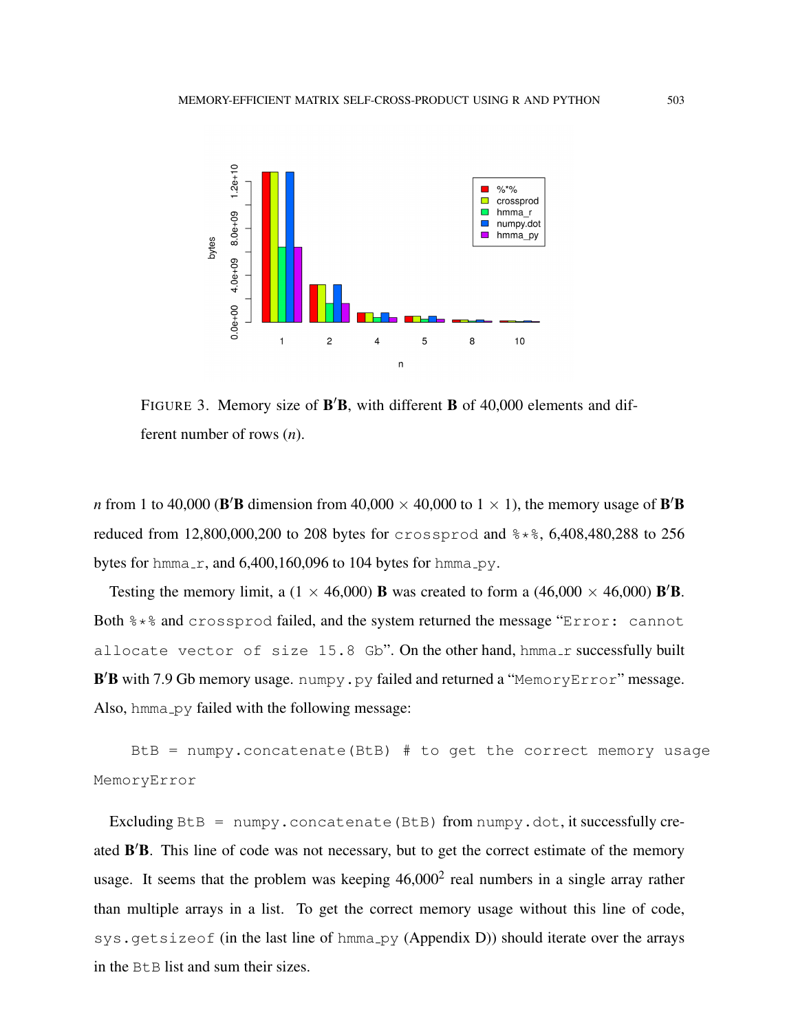

<span id="page-6-0"></span>FIGURE 3. Memory size of B'B, with different B of 40,000 elements and different number of rows (*n*).

*n* from 1 to 40,000 (B'B dimension from 40,000  $\times$  40,000 to 1  $\times$  1), the memory usage of B'B reduced from 12,800,000,200 to 208 bytes for crossprod and %\*%, 6,408,480,288 to 256 bytes for hmma\_r, and  $6,400,160,096$  to 104 bytes for hmma\_py.

Testing the memory limit, a  $(1 \times 46,000)$  **B** was created to form a  $(46,000 \times 46,000)$  **B'B**. Both %  $*$  and crossprod failed, and the system returned the message "Error: cannot allocate vector of size 15.8 Gb". On the other hand, hmma\_r successfully built B'B with 7.9 Gb memory usage. numpy.py failed and returned a "MemoryError" message. Also, hmma\_py failed with the following message:

BtB = numpy.concatenate(BtB) # to get the correct memory usage MemoryError

Excluding  $B \cup B$  = numpy.concatenate(BtB) from numpy.dot, it successfully created B'B. This line of code was not necessary, but to get the correct estimate of the memory usage. It seems that the problem was keeping  $46,000^2$  real numbers in a single array rather than multiple arrays in a list. To get the correct memory usage without this line of code,  $sys.getsizeof (in the last line of  $h_{mma.py}$  (Appendix D)) should iterate over the arrays$  $sys.getsizeof (in the last line of  $h_{mma.py}$  (Appendix D)) should iterate over the arrays$  $sys.getsizeof (in the last line of  $h_{mma.py}$  (Appendix D)) should iterate over the arrays$ in the BtB list and sum their sizes.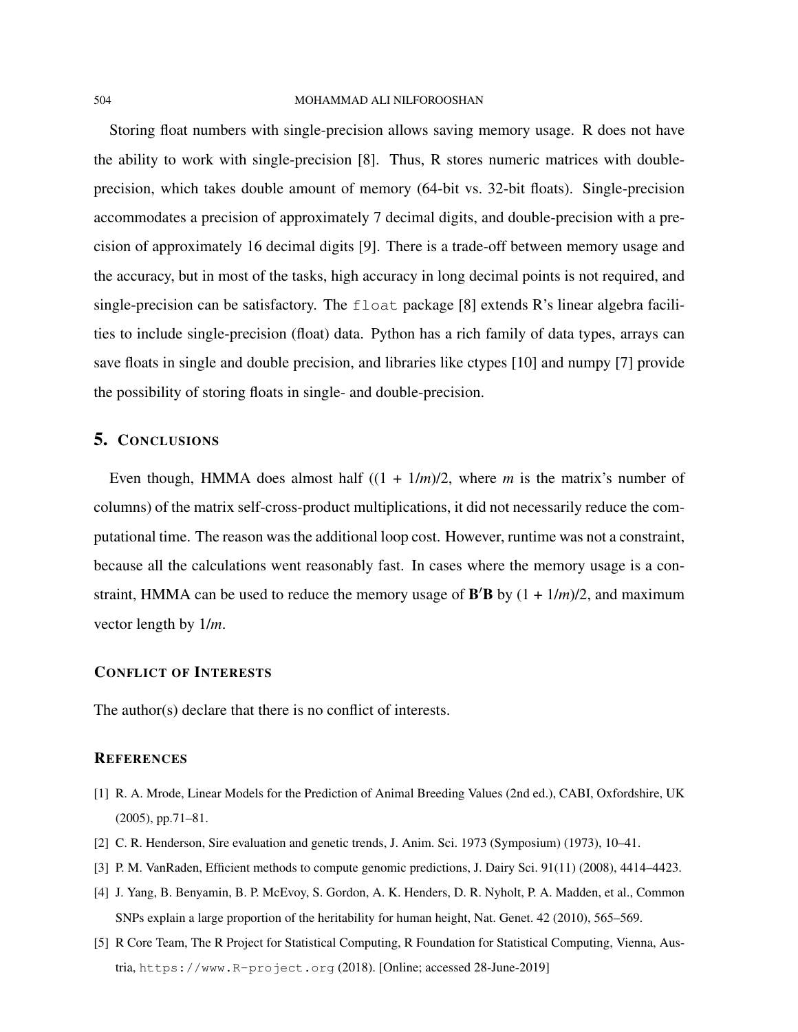Storing float numbers with single-precision allows saving memory usage. R does not have the ability to work with single-precision [\[8\]](#page-8-4). Thus, R stores numeric matrices with doubleprecision, which takes double amount of memory (64-bit vs. 32-bit floats). Single-precision accommodates a precision of approximately 7 decimal digits, and double-precision with a precision of approximately 16 decimal digits [\[9\]](#page-8-5). There is a trade-off between memory usage and the accuracy, but in most of the tasks, high accuracy in long decimal points is not required, and single-precision can be satisfactory. The  $f$ loat package [\[8\]](#page-8-4) extends R's linear algebra facilities to include single-precision (float) data. Python has a rich family of data types, arrays can save floats in single and double precision, and libraries like ctypes [\[10\]](#page-8-6) and numpy [\[7\]](#page-8-1) provide the possibility of storing floats in single- and double-precision.

### 5. CONCLUSIONS

Even though, HMMA does almost half  $((1 + 1/m)/2)$ , where *m* is the matrix's number of columns) of the matrix self-cross-product multiplications, it did not necessarily reduce the computational time. The reason was the additional loop cost. However, runtime was not a constraint, because all the calculations went reasonably fast. In cases where the memory usage is a constraint, HMMA can be used to reduce the memory usage of  $\mathbf{B}'\mathbf{B}$  by  $(1 + 1/m)/2$ , and maximum vector length by 1/*m*.

### CONFLICT OF INTERESTS

The author(s) declare that there is no conflict of interests.

### <span id="page-7-5"></span>**REFERENCES**

- <span id="page-7-0"></span>[1] R. A. Mrode, Linear Models for the Prediction of Animal Breeding Values (2nd ed.), CABI, Oxfordshire, UK (2005), pp.71–81.
- <span id="page-7-2"></span><span id="page-7-1"></span>[2] C. R. Henderson, Sire evaluation and genetic trends, J. Anim. Sci. 1973 (Symposium) (1973), 10–41.
- [3] P. M. VanRaden, Efficient methods to compute genomic predictions, J. Dairy Sci. 91(11) (2008), 4414–4423.
- <span id="page-7-3"></span>[4] J. Yang, B. Benyamin, B. P. McEvoy, S. Gordon, A. K. Henders, D. R. Nyholt, P. A. Madden, et al., Common SNPs explain a large proportion of the heritability for human height, Nat. Genet. 42 (2010), 565–569.
- <span id="page-7-4"></span>[5] R Core Team, The R Project for Statistical Computing, R Foundation for Statistical Computing, Vienna, Austria, <https://www.R-project.org> (2018). [Online; accessed 28-June-2019]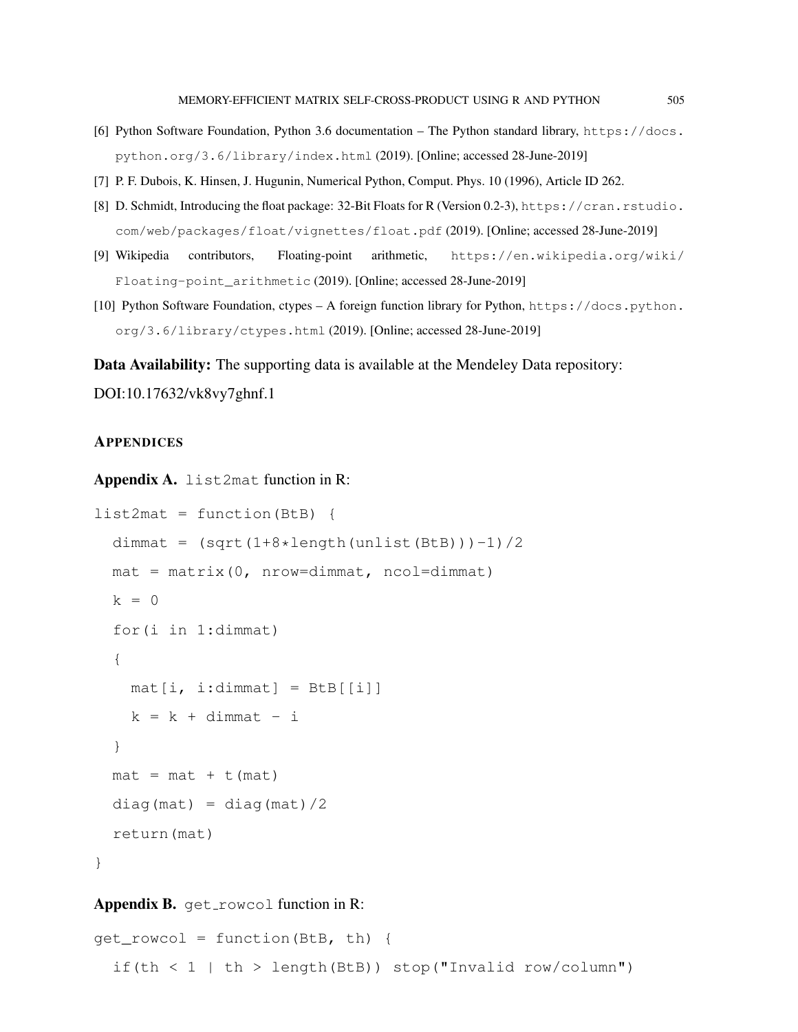- <span id="page-8-0"></span>[6] Python Software Foundation, Python 3.6 documentation – The Python standard library, [https://docs.](https://docs.python.org/3.6/library/index.html) [python.org/3.6/library/index.html](https://docs.python.org/3.6/library/index.html) (2019). [Online; accessed 28-June-2019]
- <span id="page-8-4"></span><span id="page-8-1"></span>[7] P. F. Dubois, K. Hinsen, J. Hugunin, Numerical Python, Comput. Phys. 10 (1996), Article ID 262.
- [8] D. Schmidt, Introducing the float package: 32-Bit Floats for R (Version 0.2-3), [https://cran.rstudio.](https://cran.rstudio.com/web/packages/float/vignettes/float.pdf) [com/web/packages/float/vignettes/float.pdf](https://cran.rstudio.com/web/packages/float/vignettes/float.pdf) (2019). [Online; accessed 28-June-2019]
- <span id="page-8-5"></span>[9] Wikipedia contributors, Floating-point arithmetic, [https://en.wikipedia.org/wiki/](https://en.wikipedia.org/wiki/Floating-point_arithmetic) [Floating-point\\_arithmetic](https://en.wikipedia.org/wiki/Floating-point_arithmetic) (2019). [Online; accessed 28-June-2019]
- <span id="page-8-6"></span>[10] Python Software Foundation, ctypes – A foreign function library for Python, [https://docs.python.](https://docs.python.org/3.6/library/ctypes.html) [org/3.6/library/ctypes.html](https://docs.python.org/3.6/library/ctypes.html) (2019). [Online; accessed 28-June-2019]

Data Availability: The supporting data is available at the Mendeley Data repository:

DOI[:10.17632/vk8vy7ghnf.1](https://doi.org/10.17632/vk8vy7ghnf.1)

### **APPENDICES**

<span id="page-8-2"></span>Appendix A. list2mat function in R:

```
list2mat = function(BtB) {
  dimmat = (sqrt(1+8*length(unlist(Bt)))-1)/2mat = matrix(0, nrow=dimmat, ncol=dimmat)k = 0for(i in 1:dimmat)
  {
   mat[i, i:dimmat] = BLB[[i]]k = k + dimmat - i
  }
  mat = mat + t(mat)diag(max) = diag(max)/2return(mat)
}
```
### <span id="page-8-3"></span>Appendix B. get rowcol function in R:

```
get_rowcol = function(BtB, th) {
  if(th < 1 | th > length(BtB)) stop("Invalid row/column")
```